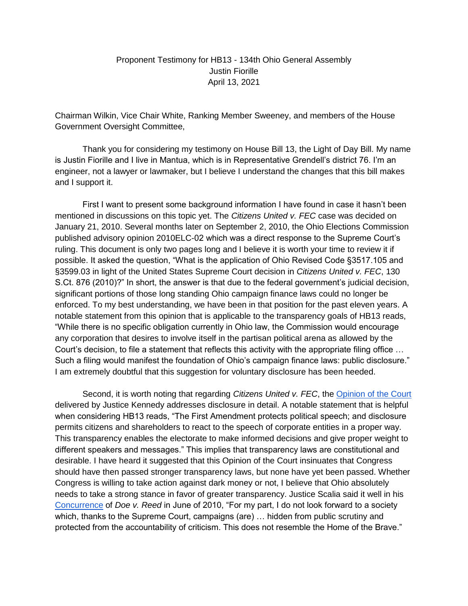## Proponent Testimony for HB13 - 134th Ohio General Assembly Justin Fiorille April 13, 2021

Chairman Wilkin, Vice Chair White, Ranking Member Sweeney, and members of the House Government Oversight Committee,

Thank you for considering my testimony on House Bill 13, the Light of Day Bill. My name is Justin Fiorille and I live in Mantua, which is in Representative Grendell's district 76. I'm an engineer, not a lawyer or lawmaker, but I believe I understand the changes that this bill makes and I support it.

First I want to present some background information I have found in case it hasn't been mentioned in discussions on this topic yet. The *Citizens United v. FEC* case was decided on January 21, 2010. Several months later on September 2, 2010, the Ohio Elections Commission published advisory opinion 2010ELC-02 which was a direct response to the Supreme Court's ruling. This document is only two pages long and I believe it is worth your time to review it if possible. It asked the question, "What is the application of Ohio Revised Code §3517.105 and §3599.03 in light of the United States Supreme Court decision in *Citizens United v. FEC*, 130 S.Ct. 876 (2010)?" In short, the answer is that due to the federal government's judicial decision, significant portions of those long standing Ohio campaign finance laws could no longer be enforced. To my best understanding, we have been in that position for the past eleven years. A notable statement from this opinion that is applicable to the transparency goals of HB13 reads, "While there is no specific obligation currently in Ohio law, the Commission would encourage any corporation that desires to involve itself in the partisan political arena as allowed by the Court's decision, to file a statement that reflects this activity with the appropriate filing office … Such a filing would manifest the foundation of Ohio's campaign finance laws: public disclosure." I am extremely doubtful that this suggestion for voluntary disclosure has been heeded.

Second, it is worth noting that regarding *Citizens United v. FEC*, the [Opinion of the Court](https://supreme.justia.com/cases/federal/us/558/310/#tab-opinion-1963051) delivered by Justice Kennedy addresses disclosure in detail. A notable statement that is helpful when considering HB13 reads, "The First Amendment protects political speech; and disclosure permits citizens and shareholders to react to the speech of corporate entities in a proper way. This transparency enables the electorate to make informed decisions and give proper weight to different speakers and messages." This implies that transparency laws are constitutional and desirable. I have heard it suggested that this Opinion of the Court insinuates that Congress should have then passed stronger transparency laws, but none have yet been passed. Whether Congress is willing to take action against dark money or not, I believe that Ohio absolutely needs to take a strong stance in favor of greater transparency. Justice Scalia said it well in his [Concurrence](https://supreme.justia.com/cases/federal/us/561/186/) of *Doe v. Reed* in June of 2010, "For my part, I do not look forward to a society which, thanks to the Supreme Court, campaigns (are) … hidden from public scrutiny and protected from the accountability of criticism. This does not resemble the Home of the Brave."